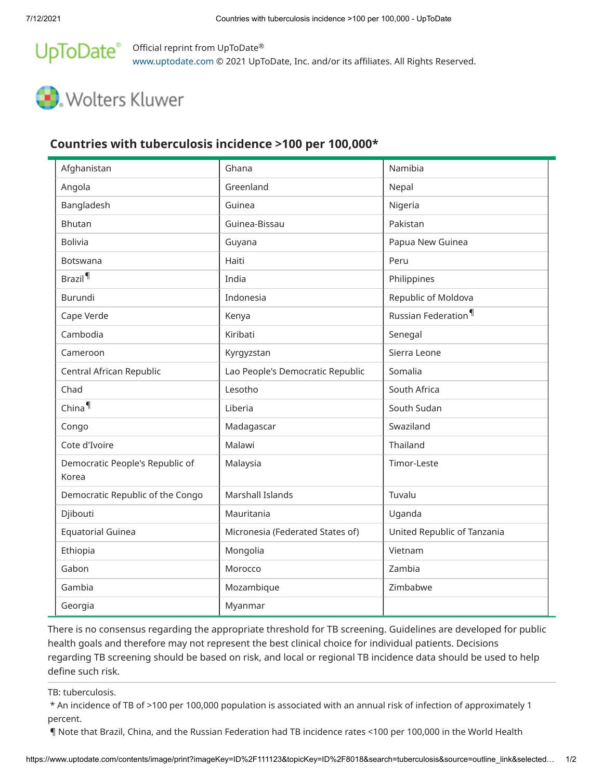## UpToDate® Official reprint from UpToDate® [www.uptodate.com](https://www.uptodate.com/) © 2021 UpToDate, Inc. and/or its affiliates. All Rights Reserved.

# Wolters Kluwer

## **Countries with tuberculosis incidence >100 per 100,000\***

| Afghanistan                              | Ghana                            | Namibia                         |
|------------------------------------------|----------------------------------|---------------------------------|
| Angola                                   | Greenland                        | Nepal                           |
| Bangladesh                               | Guinea                           | Nigeria                         |
| <b>Bhutan</b>                            | Guinea-Bissau                    | Pakistan                        |
| <b>Bolivia</b>                           | Guyana                           | Papua New Guinea                |
| Botswana                                 | Haiti                            | Peru                            |
| Brazil <sup>¶</sup>                      | India                            | Philippines                     |
| <b>Burundi</b>                           | Indonesia                        | Republic of Moldova             |
| Cape Verde                               | Kenya                            | Russian Federation <sup>¶</sup> |
| Cambodia                                 | Kiribati                         | Senegal                         |
| Cameroon                                 | Kyrgyzstan                       | Sierra Leone                    |
| Central African Republic                 | Lao People's Democratic Republic | Somalia                         |
| Chad                                     | Lesotho                          | South Africa                    |
| China <sup>¶</sup>                       | Liberia                          | South Sudan                     |
| Congo                                    | Madagascar                       | Swaziland                       |
| Cote d'Ivoire                            | Malawi                           | Thailand                        |
| Democratic People's Republic of<br>Korea | Malaysia                         | Timor-Leste                     |
| Democratic Republic of the Congo         | Marshall Islands                 | Tuvalu                          |
| Djibouti                                 | Mauritania                       | Uganda                          |
| <b>Equatorial Guinea</b>                 | Micronesia (Federated States of) | United Republic of Tanzania     |
| Ethiopia                                 | Mongolia                         | Vietnam                         |
| Gabon                                    | Morocco                          | Zambia                          |
| Gambia                                   | Mozambique                       | Zimbabwe                        |
| Georgia                                  | Myanmar                          |                                 |

There is no consensus regarding the appropriate threshold for TB screening. Guidelines are developed for public health goals and therefore may not represent the best clinical choice for individual patients. Decisions regarding TB screening should be based on risk, and local or regional TB incidence data should be used to help define such risk.

TB: tuberculosis.

\* An incidence of TB of >100 per 100,000 population is associated with an annual risk of infection of approximately 1 percent.

¶ Note that Brazil, China, and the Russian Federation had TB incidence rates <100 per 100,000 in the World Health